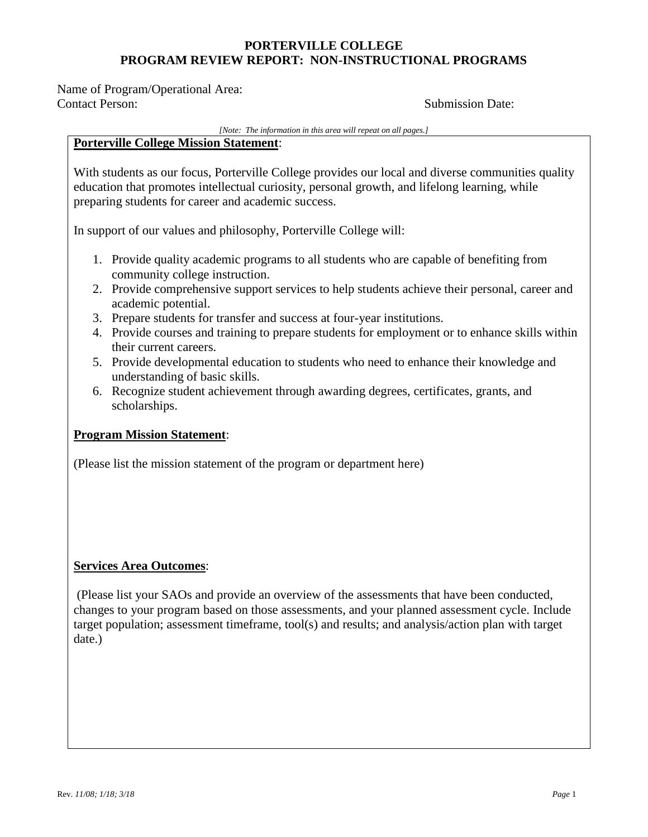Name of Program/Operational Area: Contact Person: Submission Date:

#### *[Note: The information in this area will repeat on all pages.]*

### **Porterville College Mission Statement**:

With students as our focus, Porterville College provides our local and diverse communities quality education that promotes intellectual curiosity, personal growth, and lifelong learning, while preparing students for career and academic success.

In support of our values and philosophy, Porterville College will:

- 1. Provide quality academic programs to all students who are capable of benefiting from community college instruction.
- 2. Provide comprehensive support services to help students achieve their personal, career and academic potential.
- 3. Prepare students for transfer and success at four-year institutions.
- 4. Provide courses and training to prepare students for employment or to enhance skills within their current careers.
- 5. Provide developmental education to students who need to enhance their knowledge and understanding of basic skills.
- 6. Recognize student achievement through awarding degrees, certificates, grants, and scholarships.

### **Program Mission Statement**:

(Please list the mission statement of the program or department here)

### **Services Area Outcomes**:

(Please list your SAOs and provide an overview of the assessments that have been conducted, changes to your program based on those assessments, and your planned assessment cycle. Include target population; assessment timeframe, tool(s) and results; and analysis/action plan with target date.)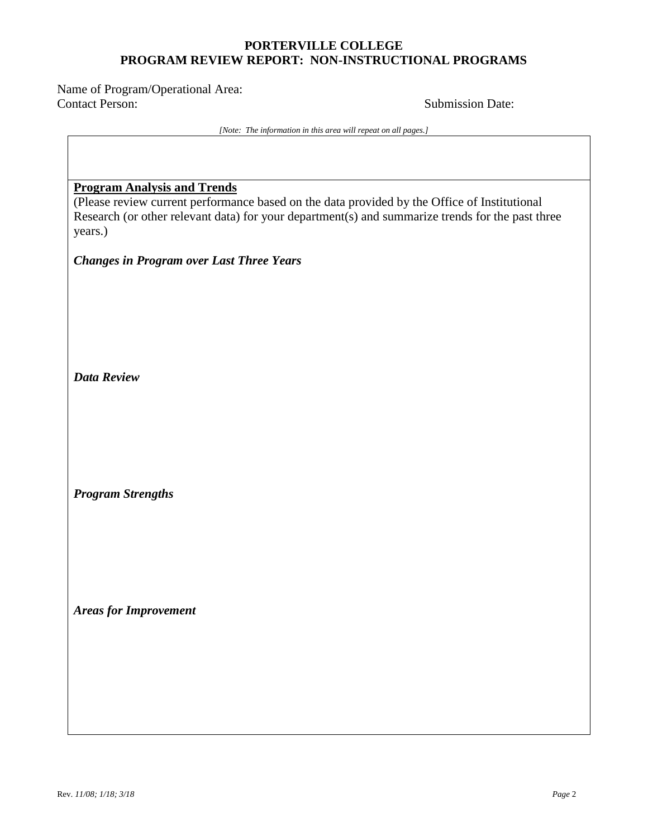Name of Program/Operational Area: Contact Person: Submission Date:

*[Note: The information in this area will repeat on all pages.]*

### **Program Analysis and Trends**

(Please review current performance based on the data provided by the Office of Institutional Research (or other relevant data) for your department(s) and summarize trends for the past three years.)

*Changes in Program over Last Three Years*

*Data Review*

*Program Strengths*

*Areas for Improvement*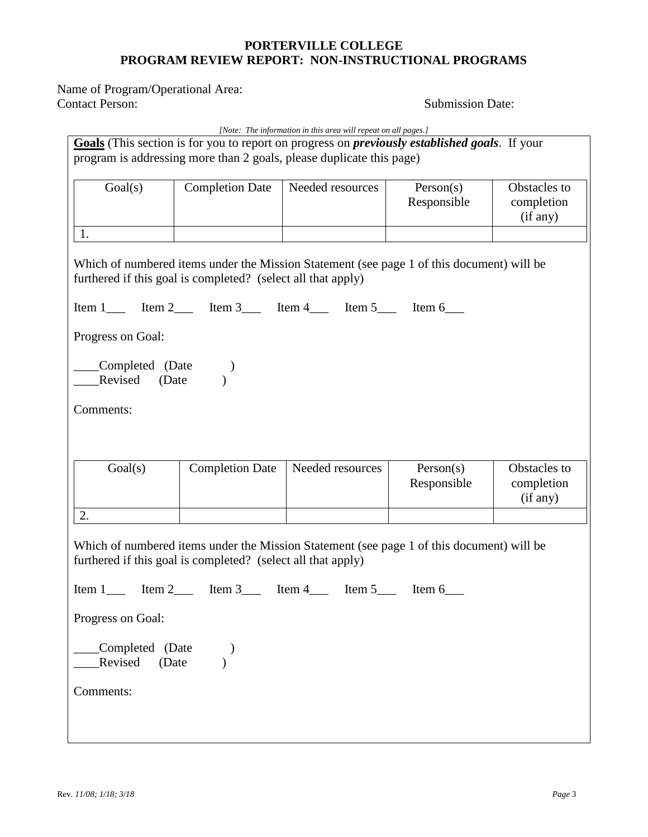Name of Program/Operational Area: Contact Person: Submission Date:

|                                                                                                                                                                               |                                                                                                                                                           | [Note: The information in this area will repeat on all pages.] |             |              |
|-------------------------------------------------------------------------------------------------------------------------------------------------------------------------------|-----------------------------------------------------------------------------------------------------------------------------------------------------------|----------------------------------------------------------------|-------------|--------------|
| Goals (This section is for you to report on progress on <i>previously established goals</i> . If your<br>program is addressing more than 2 goals, please duplicate this page) |                                                                                                                                                           |                                                                |             |              |
|                                                                                                                                                                               |                                                                                                                                                           |                                                                |             |              |
| Goal(s)                                                                                                                                                                       | <b>Completion Date</b>                                                                                                                                    | Needed resources                                               | Person(s)   | Obstacles to |
|                                                                                                                                                                               |                                                                                                                                                           |                                                                | Responsible | completion   |
|                                                                                                                                                                               |                                                                                                                                                           |                                                                |             | (if any)     |
| 1.                                                                                                                                                                            |                                                                                                                                                           |                                                                |             |              |
|                                                                                                                                                                               | Which of numbered items under the Mission Statement (see page 1 of this document) will be<br>furthered if this goal is completed? (select all that apply) |                                                                |             |              |
|                                                                                                                                                                               |                                                                                                                                                           |                                                                |             |              |
| Progress on Goal:                                                                                                                                                             |                                                                                                                                                           |                                                                |             |              |
| Completed (Date<br>Revised (Date                                                                                                                                              |                                                                                                                                                           |                                                                |             |              |
| Comments:                                                                                                                                                                     |                                                                                                                                                           |                                                                |             |              |
|                                                                                                                                                                               |                                                                                                                                                           |                                                                |             |              |
|                                                                                                                                                                               |                                                                                                                                                           |                                                                |             |              |
| Goal(s)                                                                                                                                                                       | <b>Completion Date</b>                                                                                                                                    | Needed resources                                               | Person(s)   | Obstacles to |
|                                                                                                                                                                               |                                                                                                                                                           |                                                                | Responsible | completion   |
|                                                                                                                                                                               |                                                                                                                                                           |                                                                |             | (if any)     |
| 2.                                                                                                                                                                            |                                                                                                                                                           |                                                                |             |              |
|                                                                                                                                                                               | Which of numbered items under the Mission Statement (see page 1 of this document) will be                                                                 |                                                                |             |              |
|                                                                                                                                                                               | furthered if this goal is completed? (select all that apply)                                                                                              |                                                                |             |              |
| Item $2 \qquad$ Item $3 \qquad$<br>Item $1$<br>Item $4$<br>Item $5$ —<br>Item 6                                                                                               |                                                                                                                                                           |                                                                |             |              |
| Progress on Goal:                                                                                                                                                             |                                                                                                                                                           |                                                                |             |              |
| Completed (Date<br>Revised<br>(Date                                                                                                                                           |                                                                                                                                                           |                                                                |             |              |
| Comments:                                                                                                                                                                     |                                                                                                                                                           |                                                                |             |              |
|                                                                                                                                                                               |                                                                                                                                                           |                                                                |             |              |
|                                                                                                                                                                               |                                                                                                                                                           |                                                                |             |              |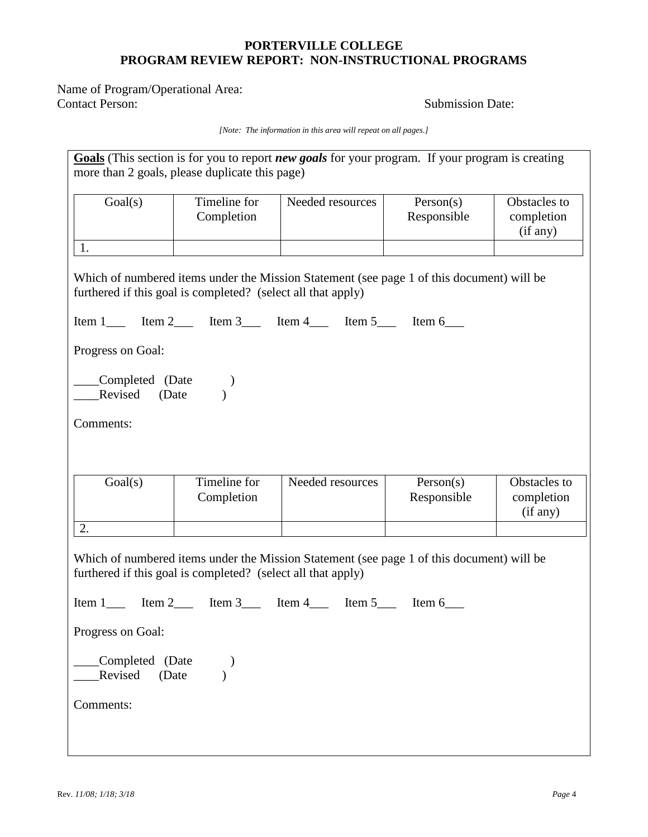Name of Program/Operational Area:<br>Contact Person:

Submission Date:

*[Note: The information in this area will repeat on all pages.]*

| Goals (This section is for you to report new goals for your program. If your program is creating<br>more than 2 goals, please duplicate this page)        |                                                              |                                                                                           |                          |                                        |
|-----------------------------------------------------------------------------------------------------------------------------------------------------------|--------------------------------------------------------------|-------------------------------------------------------------------------------------------|--------------------------|----------------------------------------|
| Goal(s)                                                                                                                                                   | Timeline for<br>Completion                                   | Needed resources                                                                          | Person(s)<br>Responsible | Obstacles to<br>completion<br>(if any) |
| 1.                                                                                                                                                        |                                                              |                                                                                           |                          |                                        |
|                                                                                                                                                           | furthered if this goal is completed? (select all that apply) | Which of numbered items under the Mission Statement (see page 1 of this document) will be |                          |                                        |
|                                                                                                                                                           |                                                              |                                                                                           |                          |                                        |
| Progress on Goal:                                                                                                                                         |                                                              |                                                                                           |                          |                                        |
| Completed (Date<br>Revised (Date                                                                                                                          |                                                              |                                                                                           |                          |                                        |
| Comments:                                                                                                                                                 |                                                              |                                                                                           |                          |                                        |
|                                                                                                                                                           |                                                              |                                                                                           |                          |                                        |
|                                                                                                                                                           |                                                              |                                                                                           |                          |                                        |
| Goal(s)                                                                                                                                                   | Timeline for<br>Completion                                   | Needed resources                                                                          | Person(s)<br>Responsible | Obstacles to<br>completion<br>(if any) |
| 2.                                                                                                                                                        |                                                              |                                                                                           |                          |                                        |
| Which of numbered items under the Mission Statement (see page 1 of this document) will be<br>furthered if this goal is completed? (select all that apply) |                                                              |                                                                                           |                          |                                        |
|                                                                                                                                                           |                                                              |                                                                                           |                          |                                        |
| Progress on Goal:                                                                                                                                         |                                                              |                                                                                           |                          |                                        |
| Completed (Date<br>Revised<br>(Date                                                                                                                       |                                                              |                                                                                           |                          |                                        |
| Comments:                                                                                                                                                 |                                                              |                                                                                           |                          |                                        |
|                                                                                                                                                           |                                                              |                                                                                           |                          |                                        |
|                                                                                                                                                           |                                                              |                                                                                           |                          |                                        |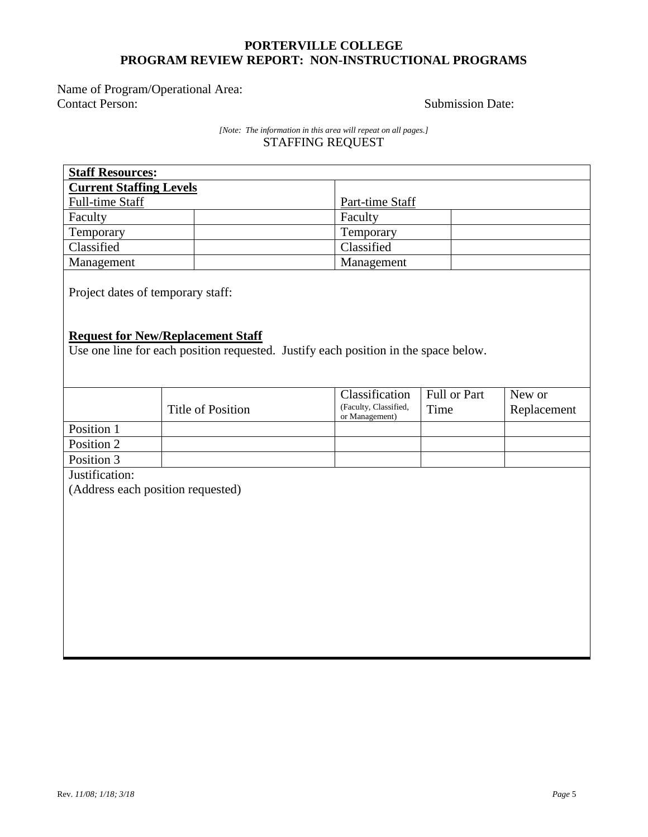Name of Program/Operational Area:<br>Contact Person:

### Submission Date:

### *[Note: The information in this area will repeat on all pages.]* STAFFING REQUEST

| <b>Staff Resources:</b>                                                                                                                                              |                          |                                         |              |             |
|----------------------------------------------------------------------------------------------------------------------------------------------------------------------|--------------------------|-----------------------------------------|--------------|-------------|
| <b>Current Staffing Levels</b>                                                                                                                                       |                          |                                         |              |             |
| Full-time Staff                                                                                                                                                      |                          | Part-time Staff                         |              |             |
| Faculty                                                                                                                                                              |                          | Faculty                                 |              |             |
| Temporary                                                                                                                                                            |                          | Temporary                               |              |             |
| Classified                                                                                                                                                           |                          | Classified                              |              |             |
| Management                                                                                                                                                           |                          | Management                              |              |             |
| Project dates of temporary staff:<br><b>Request for New/Replacement Staff</b><br>Use one line for each position requested. Justify each position in the space below. |                          |                                         |              |             |
|                                                                                                                                                                      |                          | Classification                          | Full or Part | New or      |
|                                                                                                                                                                      | <b>Title of Position</b> | (Faculty, Classified,<br>or Management) | Time         | Replacement |
| Position 1                                                                                                                                                           |                          |                                         |              |             |
| Position 2                                                                                                                                                           |                          |                                         |              |             |
| Position 3                                                                                                                                                           |                          |                                         |              |             |
| Justification:                                                                                                                                                       |                          |                                         |              |             |
| (Address each position requested)                                                                                                                                    |                          |                                         |              |             |
|                                                                                                                                                                      |                          |                                         |              |             |
|                                                                                                                                                                      |                          |                                         |              |             |
|                                                                                                                                                                      |                          |                                         |              |             |
|                                                                                                                                                                      |                          |                                         |              |             |
|                                                                                                                                                                      |                          |                                         |              |             |
|                                                                                                                                                                      |                          |                                         |              |             |
|                                                                                                                                                                      |                          |                                         |              |             |
|                                                                                                                                                                      |                          |                                         |              |             |
|                                                                                                                                                                      |                          |                                         |              |             |
|                                                                                                                                                                      |                          |                                         |              |             |
|                                                                                                                                                                      |                          |                                         |              |             |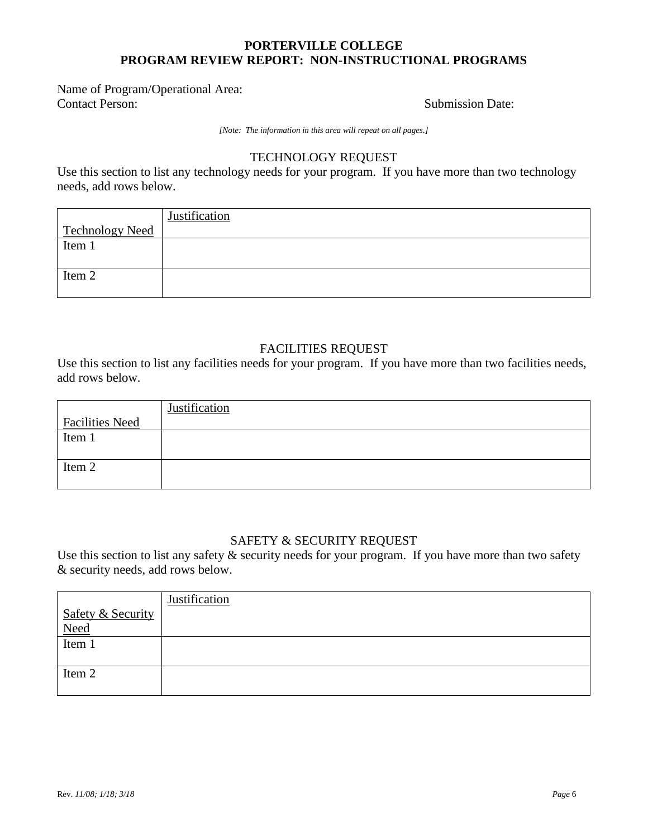### Name of Program/Operational Area: **Contact Person:** Submission Date:

*[Note: The information in this area will repeat on all pages.]*

### TECHNOLOGY REQUEST

Use this section to list any technology needs for your program. If you have more than two technology needs, add rows below.

|                        | Justification |
|------------------------|---------------|
| <b>Technology Need</b> |               |
| Item $1$               |               |
|                        |               |
| Item 2                 |               |
|                        |               |

## FACILITIES REQUEST

Use this section to list any facilities needs for your program. If you have more than two facilities needs, add rows below.

|                        | Justification |
|------------------------|---------------|
| <b>Facilities Need</b> |               |
| Item 1                 |               |
|                        |               |
| Item 2                 |               |
|                        |               |

### SAFETY & SECURITY REQUEST

Use this section to list any safety  $\&$  security needs for your program. If you have more than two safety & security needs, add rows below.

|                                    | <b>Justification</b> |
|------------------------------------|----------------------|
|                                    |                      |
| Safety & Security<br>Need<br>Tem 1 |                      |
|                                    |                      |
|                                    |                      |
| Item 2                             |                      |
|                                    |                      |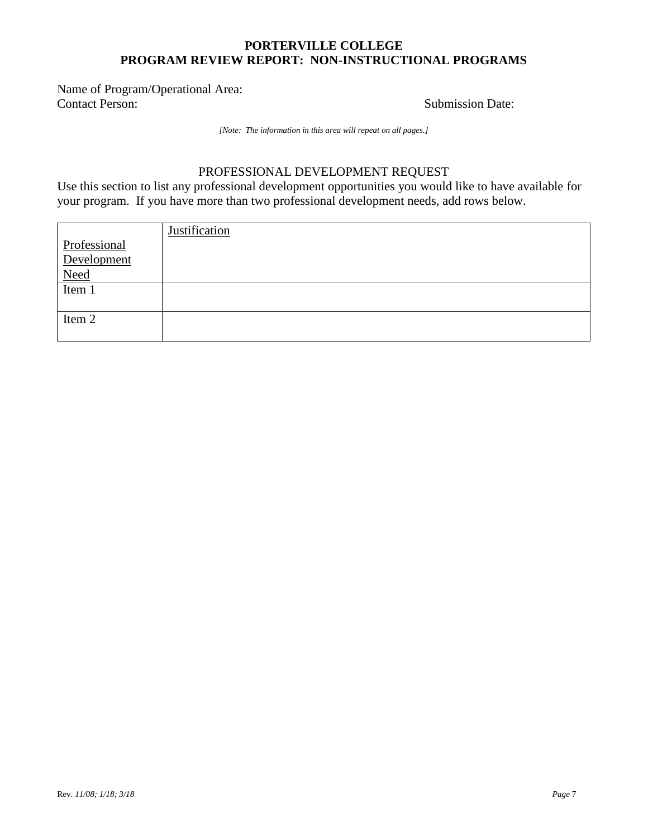Name of Program/Operational Area: **Contact Person:** Submission Date:

*[Note: The information in this area will repeat on all pages.]*

# PROFESSIONAL DEVELOPMENT REQUEST

Use this section to list any professional development opportunities you would like to have available for your program. If you have more than two professional development needs, add rows below.

|                                     | Justification |
|-------------------------------------|---------------|
| Professional                        |               |
| Development                         |               |
| $\frac{\text{Need}}{\text{Item 1}}$ |               |
|                                     |               |
|                                     |               |
| Item 2                              |               |
|                                     |               |